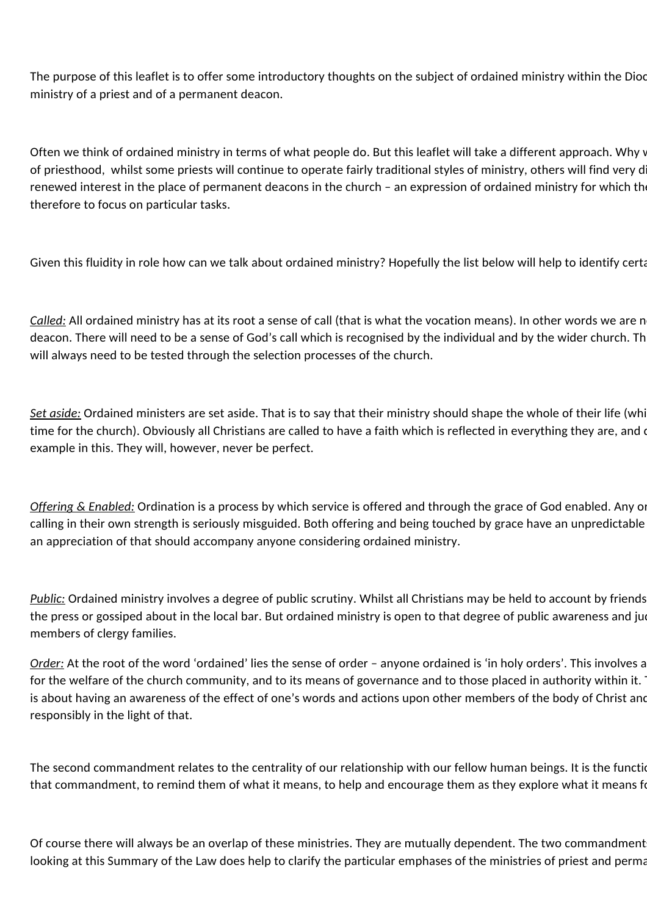The purpose of this leaflet is to offer some introductory thoughts on the subject of ordained ministry within the Dioc ministry of a priest and of a permanent deacon.

Often we think of ordained ministry in terms of what people do. But this leaflet will take a different approach. Why v of priesthood, whilst some priests will continue to operate fairly traditional styles of ministry, others will find very d renewed interest in the place of permanent deacons in the church - an expression of ordained ministry for which the therefore to focus on particular tasks.

Given this fluidity in role how can we talk about ordained ministry? Hopefully the list below will help to identify certain

*Called:* All ordained ministry has at its root a sense of call (that is what the vocation means). In other words we are n deacon. There will need to be a sense of God's call which is recognised by the individual and by the wider church. Th will always need to be tested through the selection processes of the church.

**Set aside:** Ordained ministers are set aside. That is to say that their ministry should shape the whole of their life (whi time for the church). Obviously all Christians are called to have a faith which is reflected in everything they are, and d example in this. They will, however, never be perfect.

*Offering* & *Enabled:* Ordination is a process by which service is offered and through the grace of God enabled. Any or calling in their own strength is seriously misguided. Both offering and being touched by grace have an unpredictable an appreciation of that should accompany anyone considering ordained ministry.

*Public:* Ordained ministry involves a degree of public scrutiny. Whilst all Christians may be held to account by friends the press or gossiped about in the local bar. But ordained ministry is open to that degree of public awareness and jud members of clergy families.

*Order:* At the root of the word 'ordained' lies the sense of order – anyone ordained is 'in holy orders'. This involves a for the welfare of the church community, and to its means of governance and to those placed in authority within it. is about having an awareness of the effect of one's words and actions upon other members of the body of Christ and responsibly in the light of that.

The second commandment relates to the centrality of our relationship with our fellow human beings. It is the functio that commandment, to remind them of what it means, to help and encourage them as they explore what it means for

Of course there will always be an overlap of these ministries. They are mutually dependent. The two commandment looking at this Summary of the Law does help to clarify the particular emphases of the ministries of priest and perma